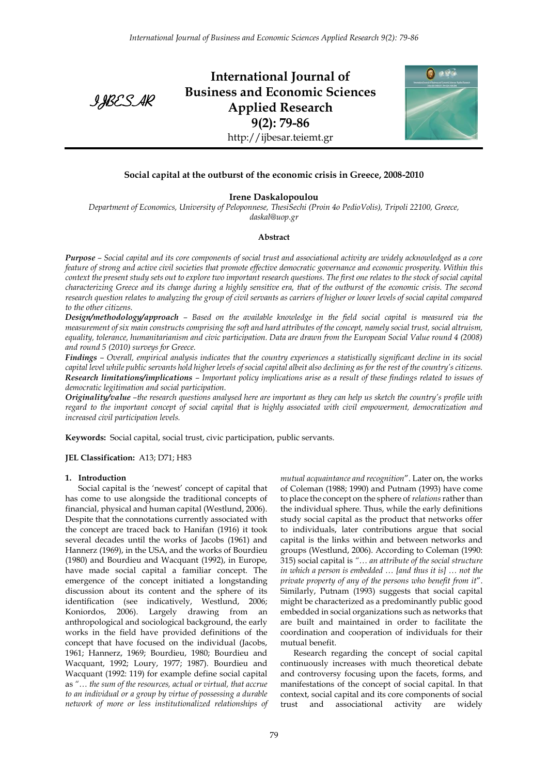

**International Journal of Business and Economic Sciences Applied Research 9(2): 79-86** http://ijbesar.teiemt.gr



# **Social capital at the outburst of the economic crisis in Greece, 2008-2010**

## **Irene Daskalopoulou**

*Department of Economics, University of Peloponnese, ThesiSechi (Proin 4o PedioVolis), Tripoli 22100, Greece, daskal@uop.gr*

### **Abstract**

*Purpose – Social capital and its core components of social trust and associational activity are widely acknowledged as a core feature of strong and active civil societies that promote effective democratic governance and economic prosperity. Within this context the present study sets out to explore two important research questions. The first one relates to the stock of social capital characterizing Greece and its change during a highly sensitive era, that of the outburst of the economic crisis. The second research question relates to analyzing the group of civil servants as carriers of higher or lower levels of social capital compared to the other citizens.* 

*Design/methodology/approach – Based on the available knowledge in the field social capital is measured via the measurement of six main constructs comprising the soft and hard attributes of the concept, namely social trust, social altruism, equality, tolerance, humanitarianism and civic participation. Data are drawn from the European Social Value round 4 (2008) and round 5 (2010) surveys for Greece.* 

*Findings – Overall, empirical analysis indicates that the country experiences a statistically significant decline in its social capital level while public servants hold higher levels of social capital albeit also declining as for the rest of the country's citizens. Research limitations/implications – Important policy implications arise as a result of these findings related to issues of democratic legitimation and social participation.* 

*Originality/value –the research questions analysed here are important as they can help us sketch the country's profile with regard to the important concept of social capital that is highly associated with civil empowerment, democratization and increased civil participation levels.* 

**Keywords:** Social capital, social trust, civic participation, public servants.

**JEL Classification:** A13; D71; H83

### **1. Introduction**

Social capital is the 'newest' concept of capital that has come to use alongside the traditional concepts of financial, physical and human capital (Westlund, 2006). Despite that the connotations currently associated with the concept are traced back to Hanifan (1916) it took several decades until the works of Jacobs (1961) and Hannerz (1969), in the USA, and the works of Bourdieu (1980) and Bourdieu and Wacquant (1992), in Europe, have made social capital a familiar concept. The emergence of the concept initiated a longstanding discussion about its content and the sphere of its identification (see indicatively, Westlund, 2006; Koniordos, 2006). Largely drawing from an anthropological and sociological background, the early works in the field have provided definitions of the concept that have focused on the individual (Jacobs, 1961; Hannerz, 1969; Bourdieu, 1980; Bourdieu and Wacquant, 1992; Loury, 1977; 1987). Bourdieu and Wacquant (1992: 119) for example define social capital as *"… the sum of the resources, actual or virtual, that accrue to an individual or a group by virtue of possessing a durable network of more or less institutionalized relationships of*  *mutual acquaintance and recognition*". Later on, the works of Coleman (1988; 1990) and Putnam (1993) have come to place the concept on the sphere of *relations*rather than the individual sphere. Thus, while the early definitions study social capital as the product that networks offer to individuals, later contributions argue that social capital is the links within and between networks and groups (Westlund, 2006). According to Coleman (1990: 315) social capital is *"… an attribute of the social structure in which a person is embedded … [and thus it is] … not the private property of any of the persons who benefit from it*". Similarly, Putnam (1993) suggests that social capital might be characterized as a predominantly public good embedded in social organizations such as networks that are built and maintained in order to facilitate the coordination and cooperation of individuals for their mutual benefit.

Research regarding the concept of social capital continuously increases with much theoretical debate and controversy focusing upon the facets, forms, and manifestations of the concept of social capital. In that context, social capital and its core components of social trust and associational activity are widely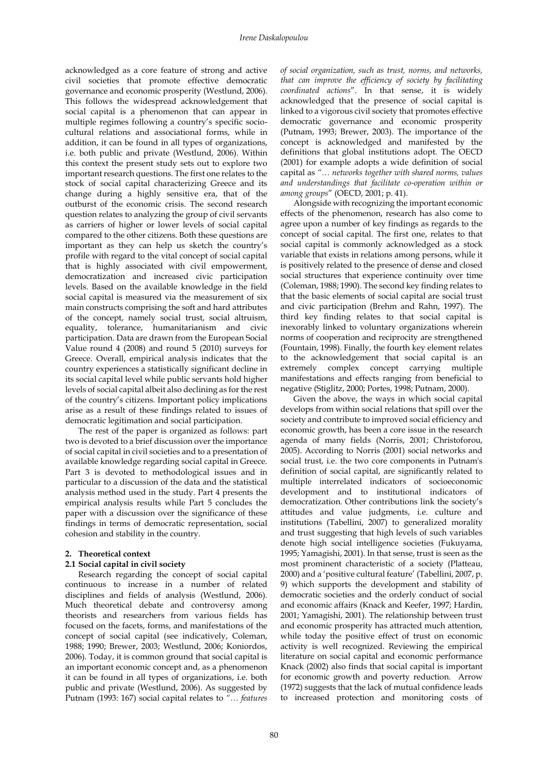acknowledged as a core feature of strong and active civil societies that promote effective democratic governance and economic prosperity (Westlund, 2006). This follows the widespread acknowledgement that social capital is a phenomenon that can appear in multiple regimes following a country's specific sociocultural relations and associational forms, while in addition, it can be found in all types of organizations, i.e. both public and private (Westlund, 2006). Within this context the present study sets out to explore two important research questions. The first one relates to the stock of social capital characterizing Greece and its change during a highly sensitive era, that of the outburst of the economic crisis. The second research question relates to analyzing the group of civil servants as carriers of higher or lower levels of social capital compared to the other citizens. Both these questions are important as they can help us sketch the country's profile with regard to the vital concept of social capital that is highly associated with civil empowerment, democratization and increased civic participation levels. Based on the available knowledge in the field social capital is measured via the measurement of six main constructs comprising the soft and hard attributes of the concept, namely social trust, social altruism, equality, tolerance, humanitarianism and civic participation. Data are drawn from the European Social Value round 4 (2008) and round 5 (2010) surveys for Greece. Overall, empirical analysis indicates that the country experiences a statistically significant decline in its social capital level while public servants hold higher levels of social capital albeit also declining as for the rest of the country's citizens. Important policy implications arise as a result of these findings related to issues of democratic legitimation and social participation.

The rest of the paper is organized as follows: part two is devoted to a brief discussion over the importance of social capital in civil societies and to a presentation of available knowledge regarding social capital in Greece. Part 3 is devoted to methodological issues and in particular to a discussion of the data and the statistical analysis method used in the study. Part 4 presents the empirical analysis results while Part 5 concludes the paper with a discussion over the significance of these findings in terms of democratic representation, social cohesion and stability in the country.

### **2. Theoretical context**

### **2.1 Social capital in civil society**

Research regarding the concept of social capital continuous to increase in a number of related disciplines and fields of analysis (Westlund, 2006). Much theoretical debate and controversy among theorists and researchers from various fields has focused on the facets, forms, and manifestations of the concept of social capital (see indicatively, Coleman, 1988; 1990; Brewer, 2003; Westlund, 2006; Koniordos, 2006). Today, it is common ground that social capital is an important economic concept and, as a phenomenon it can be found in all types of organizations, i.e. both public and private (Westlund, 2006). As suggested by Putnam (1993: 167) social capital relates to *"… features*  *of social organization, such as trust, norms, and networks, that can improve the efficiency of society by facilitating coordinated actions*". In that sense, it is widely acknowledged that the presence of social capital is linked to a vigorous civil society that promotes effective democratic governance and economic prosperity (Putnam, 1993; Brewer, 2003). The importance of the concept is acknowledged and manifested by the definitions that global institutions adopt. The OECD (2001) for example adopts a wide definition of social capital as *"… networks together with shared norms, values and understandings that facilitate co-operation within or among groups*" (OECD, 2001; p. 41).

Alongside with recognizing the important economic effects of the phenomenon, research has also come to agree upon a number of key findings as regards to the concept of social capital. The first one, relates to that social capital is commonly acknowledged as a stock variable that exists in relations among persons, while it is positively related to the presence of dense and closed social structures that experience continuity over time (Coleman, 1988; 1990). The second key finding relates to that the basic elements of social capital are social trust and civic participation (Brehm and Rahn, 1997). The third key finding relates to that social capital is inexorably linked to voluntary organizations wherein norms of cooperation and reciprocity are strengthened (Fountain, 1998). Finally, the fourth key element relates to the acknowledgement that social capital is an extremely complex concept carrying multiple manifestations and effects ranging from beneficial to negative (Stiglitz, 2000; Portes, 1998; Putnam, 2000).

Given the above, the ways in which social capital develops from within social relations that spill over the society and contribute to improved social efficiency and economic growth, has been a core issue in the research agenda of many fields (Norris, 2001; Christoforou, 2005). According to Norris (2001) social networks and social trust, i.e. the two core components in Putnam's definition of social capital, are significantly related to multiple interrelated indicators of socioeconomic development and to institutional indicators of democratization. Other contributions link the society's attitudes and value judgments, i.e. culture and institutions (Tabellini, 2007) to generalized morality and trust suggesting that high levels of such variables denote high social intelligence societies (Fukuyama, 1995; Yamagishi, 2001). In that sense, trust is seen as the most prominent characteristic of a society (Platteau, 2000) and a 'positive cultural feature' (Tabellini, 2007, p. 9) which supports the development and stability of democratic societies and the orderly conduct of social and economic affairs (Knack and Keefer, 1997; Hardin, 2001; Yamagishi, 2001). The relationship between trust and economic prosperity has attracted much attention, while today the positive effect of trust on economic activity is well recognized. Reviewing the empirical literature on social capital and economic performance Knack (2002) also finds that social capital is important for economic growth and poverty reduction. Arrow (1972) suggests that the lack of mutual confidence leads to increased protection and monitoring costs of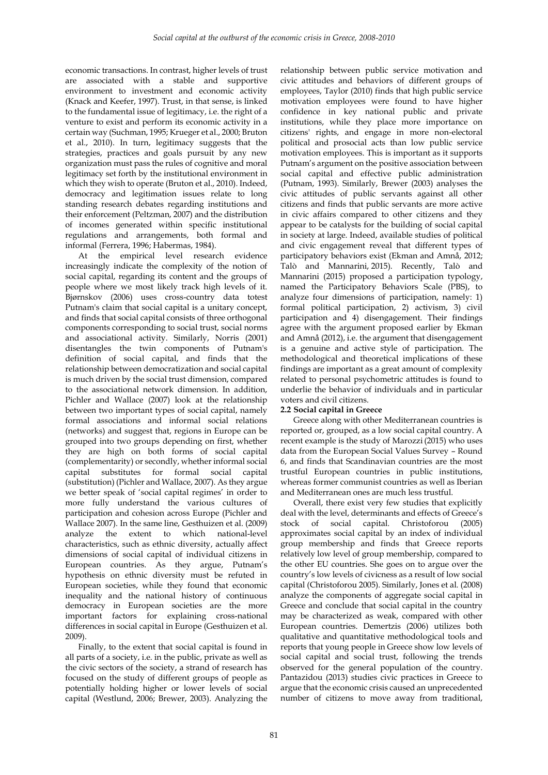economic transactions. In contrast, higher levels of trust are associated with a stable and supportive environment to investment and economic activity (Knack and Keefer, 1997). Trust, in that sense, is linked to the fundamental issue of legitimacy, i.e. the right of a venture to exist and perform its economic activity in a certain way (Suchman, 1995; Krueger et al., 2000; Bruton et al., 2010). In turn, legitimacy suggests that the strategies, practices and goals pursuit by any new organization must pass the rules of cognitive and moral legitimacy set forth by the institutional environment in which they wish to operate (Bruton et al., 2010). Indeed, democracy and legitimation issues relate to long standing research debates regarding institutions and their enforcement (Peltzman, 2007) and the distribution of incomes generated within specific institutional regulations and arrangements, both formal and informal (Ferrera, 1996; Habermas, 1984).

At the empirical level research evidence increasingly indicate the complexity of the notion of social capital, regarding its content and the groups of people where we most likely track high levels of it. Bjørnskov (2006) uses cross-country data totest Putnam's claim that social capital is a unitary concept, and finds that social capital consists of three orthogonal components corresponding to social trust, social norms and associational activity. Similarly, Norris (2001) disentangles the twin components of Putnam's definition of social capital, and finds that the relationship between democratization and social capital is much driven by the social trust dimension, compared to the associational network dimension. In addition, Pichler and Wallace (2007) look at the relationship between two important types of social capital, namely formal associations and informal social relations (networks) and suggest that, regions in Europe can be grouped into two groups depending on first, whether they are high on both forms of social capital (complementarity) or secondly, whether informal social capital substitutes for formal social capital (substitution) (Pichler and Wallace, 2007). As they argue we better speak of 'social capital regimes' in order to more fully understand the various cultures of participation and cohesion across Europe (Pichler and Wallace 2007). In the same line, Gesthuizen et al. (2009) analyze the extent to which national-level characteristics, such as ethnic diversity, actually affect dimensions of social capital of individual citizens in European countries. As they argue, Putnam's hypothesis on ethnic diversity must be refuted in European societies, while they found that economic inequality and the national history of continuous democracy in European societies are the more important factors for explaining cross-national differences in social capital in Europe (Gesthuizen et al. 2009).

Finally, to the extent that social capital is found in all parts of a society, i.e. in the public, private as well as the civic sectors of the society, a strand of research has focused on the study of different groups of people as potentially holding higher or lower levels of social capital (Westlund, 2006; Brewer, 2003). Analyzing the

relationship between public service motivation and civic attitudes and behaviors of different groups of employees, Taylor (2010) finds that high public service motivation employees were found to have higher confidence in key national public and private institutions, while they place more importance on citizens' rights, and engage in more non-electoral political and prosocial acts than low public service motivation employees. This is important as it supports Putnam's argument on the positive association between social capital and effective public administration (Putnam, 1993). Similarly, Brewer (2003) analyses the civic attitudes of public servants against all other citizens and finds that public servants are more active in civic affairs compared to other citizens and they appear to be catalysts for the building of social capital in society at large. Indeed, available studies of political and civic engagement reveal that different types of participatory behaviors exist (Ekman and Amnå, 2012; Talò and Mannarini, 2015). Recently, Talò and Mannarini (2015) proposed a participation typology, named the Participatory Behaviors Scale (PBS), to analyze four dimensions of participation, namely: 1) formal political participation, 2) activism, 3) civil participation and 4) disengagement. Their findings agree with the argument proposed earlier by Ekman and Amnå (2012), i.e. the argument that disengagement is a genuine and active style of participation. The methodological and theoretical implications of these findings are important as a great amount of complexity related to personal psychometric attitudes is found to underlie the behavior of individuals and in particular voters and civil citizens.

# **2.2 Social capital in Greece**

Greece along with other Mediterranean countries is reported or, grouped, as a low social capital country. A recent example is the study of Marozz[i\(](mailto:marco.marozzi@unical.it)2015) who uses data from the European Social Values Survey – Round 6, and finds that Scandinavian countries are the most trustful European countries in public institutions, whereas former communist countries as well as Iberian and Mediterranean ones are much less trustful.

Overall, there exist very few studies that explicitly deal with the level, determinants and effects of Greece's stock of social capital. Christoforou (2005) approximates social capital by an index of individual group membership and finds that Greece reports relatively low level of group membership, compared to the other EU countries. She goes on to argue over the country's low levels of civicness as a result of low social capital (Christoforou 2005). Similarly, Jones et al. (2008) analyze the components of aggregate social capital in Greece and conclude that social capital in the country may be characterized as weak, compared with other European countries. Demertzis (2006) utilizes both qualitative and quantitative methodological tools and reports that young people in Greece show low levels of social capital and social trust, following the trends observed for the general population of the country. Pantazidou (2013) studies civic practices in Greece to argue that the economic crisis caused an unprecedented number of citizens to move away from traditional,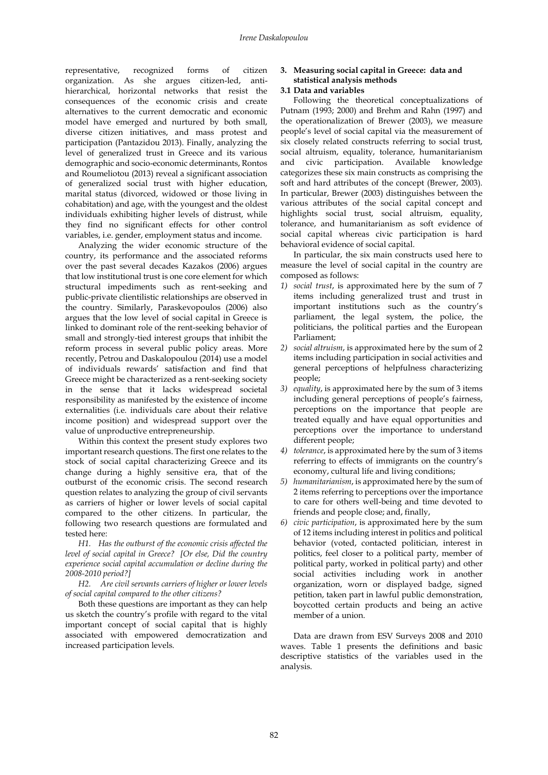representative, recognized forms of citizen organization. As she argues citizen-led, antihierarchical, horizontal networks that resist the consequences of the economic crisis and create alternatives to the current democratic and economic model have emerged and nurtured by both small, diverse citizen initiatives, and mass protest and participation (Pantazidou 2013). Finally, analyzing the level of generalized trust in Greece and its various demographic and socio-economic determinants, Rontos and Roumeliotou (2013) reveal a significant association of generalized social trust with higher education, marital status (divorced, widowed or those living in cohabitation) and age, with the youngest and the oldest individuals exhibiting higher levels of distrust, while they find no significant effects for other control variables, i.e. gender, employment status and income.

Analyzing the wider economic structure of the country, its performance and the associated reforms over the past several decades Kazakos (2006) argues that low institutional trust is one core element for which structural impediments such as rent-seeking and public-private clientilistic relationships are observed in the country. Similarly, Paraskevopoulos (2006) also argues that the low level of social capital in Greece is linked to dominant role of the rent-seeking behavior of small and strongly-tied interest groups that inhibit the reform process in several public policy areas. More recently, Petrou and Daskalopoulou (2014) use a model of individuals rewards' satisfaction and find that Greece might be characterized as a rent-seeking society in the sense that it lacks widespread societal responsibility as manifested by the existence of income externalities (i.e. individuals care about their relative income position) and widespread support over the value of unproductive entrepreneurship.

Within this context the present study explores two important research questions. The first one relates to the stock of social capital characterizing Greece and its change during a highly sensitive era, that of the outburst of the economic crisis. The second research question relates to analyzing the group of civil servants as carriers of higher or lower levels of social capital compared to the other citizens. In particular, the following two research questions are formulated and tested here:

*H1. Has the outburst of the economic crisis affected the level of social capital in Greece? [Or else, Did the country experience social capital accumulation or decline during the 2008-2010 period?]*

*H2. Are civil servants carriers of higher or lower levels of social capital compared to the other citizens?* 

Both these questions are important as they can help us sketch the country's profile with regard to the vital important concept of social capital that is highly associated with empowered democratization and increased participation levels.

## **3. Measuring social capital in Greece: data and statistical analysis methods**

# **3.1 Data and variables**

Following the theoretical conceptualizations of Putnam (1993; 2000) and Brehm and Rahn (1997) and the operationalization of Brewer (2003), we measure people's level of social capital via the measurement of six closely related constructs referring to social trust, social altruism, equality, tolerance, humanitarianism and civic participation. Available knowledge categorizes these six main constructs as comprising the soft and hard attributes of the concept (Brewer, 2003). In particular, Brewer (2003) distinguishes between the various attributes of the social capital concept and highlights social trust, social altruism, equality, tolerance, and humanitarianism as soft evidence of social capital whereas civic participation is hard behavioral evidence of social capital.

In particular, the six main constructs used here to measure the level of social capital in the country are composed as follows:

- *1) social trust*, is approximated here by the sum of 7 items including generalized trust and trust in important institutions such as the country's parliament, the legal system, the police, the politicians, the political parties and the European Parliament;
- *2) social altruism*, is approximated here by the sum of 2 items including participation in social activities and general perceptions of helpfulness characterizing people;
- *3) equality*, is approximated here by the sum of 3 items including general perceptions of people's fairness, perceptions on the importance that people are treated equally and have equal opportunities and perceptions over the importance to understand different people;
- *4) tolerance*, is approximated here by the sum of 3 items referring to effects of immigrants on the country's economy, cultural life and living conditions;
- *5) humanitarianism*, is approximated here by the sum of 2 items referring to perceptions over the importance to care for others well-being and time devoted to friends and people close; and, finally,
- *6) civic participation*, is approximated here by the sum of 12 items including interest in politics and political behavior (voted, contacted politician, interest in politics, feel closer to a political party, member of political party, worked in political party) and other social activities including work in another organization, worn or displayed badge, signed petition, taken part in lawful public demonstration, boycotted certain products and being an active member of a union.

Data are drawn from ESV Surveys 2008 and 2010 waves. Table 1 presents the definitions and basic descriptive statistics of the variables used in the analysis.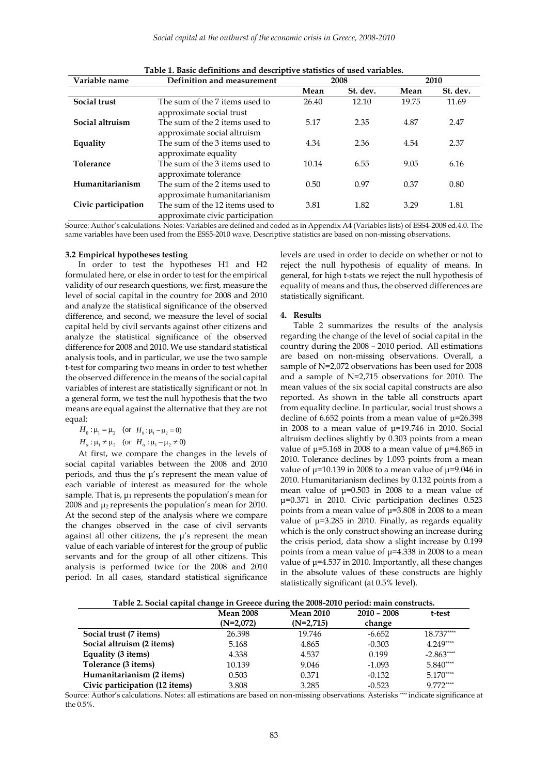| Variable name       | Definition and measurement                                         |       | 2008     |       | 2010     |
|---------------------|--------------------------------------------------------------------|-------|----------|-------|----------|
|                     |                                                                    | Mean  | St. dev. | Mean  | St. dev. |
| Social trust        | The sum of the 7 items used to<br>approximate social trust         | 26.40 | 12.10    | 19.75 | 11.69    |
| Social altruism     | The sum of the 2 items used to<br>approximate social altruism      | 5.17  | 2.35     | 4.87  | 2.47     |
| Equality            | The sum of the 3 items used to<br>approximate equality             | 4.34  | 2.36     | 4.54  | 2.37     |
| Tolerance           | The sum of the 3 items used to<br>approximate tolerance            | 10.14 | 6.55     | 9.05  | 6.16     |
| Humanitarianism     | The sum of the 2 items used to<br>approximate humanitarianism      | 0.50  | 0.97     | 0.37  | 0.80     |
| Civic participation | The sum of the 12 items used to<br>approximate civic participation | 3.81  | 1.82     | 3.29  | 1.81     |

|  | Table 1. Basic definitions and descriptive statistics of used variables. |  |  |  |  |  |
|--|--------------------------------------------------------------------------|--|--|--|--|--|
|--|--------------------------------------------------------------------------|--|--|--|--|--|

Source: Author's calculations. Notes: Variables are defined and coded as in Appendix A4 (Variables lists) of ESS4-2008 ed.4.0. The same variables have been used from the ESS5-2010 wave. Descriptive statistics are based on non-missing observations.

### **3.2 Empirical hypotheses testing**

In order to test the hypotheses H1 and H2 formulated here, or else in order to test for the empirical validity of our research questions, we: first, measure the level of social capital in the country for 2008 and 2010 and analyze the statistical significance of the observed difference, and second, we measure the level of social capital held by civil servants against other citizens and analyze the statistical significance of the observed difference for 2008 and 2010. We use standard statistical analysis tools, and in particular, we use the two sample t-test for comparing two means in order to test whether the observed difference in the means of the social capital variables of interest are statistically significant or not. In a general form, we test the null hypothesis that the two means are equal against the alternative that they are not equal:

 $H_0: \mu_1 = \mu_2$  (or  $H_0: \mu_1 - \mu_2 = 0$ )  $H_{\alpha}$ :  $\mu_1 \neq \mu_2$  (or  $H_{\alpha}$ :  $\mu_1 - \mu_2 \neq 0$ )

At first, we compare the changes in the levels of social capital variables between the 2008 and 2010 periods, and thus the μ's represent the mean value of each variable of interest as measured for the whole sample. That is,  $\mu_1$  represents the population's mean for 2008 and μ2 represents the population's mean for 2010. At the second step of the analysis where we compare the changes observed in the case of civil servants against all other citizens, the μ's represent the mean value of each variable of interest for the group of public servants and for the group of all other citizens. This analysis is performed twice for the 2008 and 2010 period. In all cases, standard statistical significance levels are used in order to decide on whether or not to reject the null hypothesis of equality of means. In general, for high t-stats we reject the null hypothesis of equality of means and thus, the observed differences are statistically significant.

#### **4. Results**

Table 2 summarizes the results of the analysis regarding the change of the level of social capital in the country during the 2008 – 2010 period. All estimations are based on non-missing observations. Overall, a sample of N=2,072 observations has been used for 2008 and a sample of N=2,715 observations for 2010. The mean values of the six social capital constructs are also reported. As shown in the table all constructs apart from equality decline. In particular, social trust shows a decline of 6.652 points from a mean value of  $\mu$ =26.398 in 2008 to a mean value of μ=19.746 in 2010. Social altruism declines slightly by 0.303 points from a mean value of  $\mu$ =5.168 in 2008 to a mean value of  $\mu$ =4.865 in 2010. Tolerance declines by 1.093 points from a mean value of  $\mu$ =10.139 in 2008 to a mean value of  $\mu$ =9.046 in 2010. Humanitarianism declines by 0.132 points from a mean value of μ=0.503 in 2008 to a mean value of μ=0.371 in 2010. Civic participation declines 0.523 points from a mean value of  $\mu$ =3.808 in 2008 to a mean value of  $\mu$ =3.285 in 2010. Finally, as regards equality which is the only construct showing an increase during the crisis period, data show a slight increase by 0.199 points from a mean value of μ=4.338 in 2008 to a mean value of  $\mu$ =4.537 in 2010. Importantly, all these changes in the absolute values of these constructs are highly statistically significant (at 0.5% level).

**Table 2. Social capital change in Greece during the 2008-2010 period: main constructs.**

|                                | . .<br><b>Mean 2008</b><br>$(N=2.072)$ | $\cdot$<br><b>Mean 2010</b><br>$(N=2,715)$ | $2010 - 2008$<br>change | t-test      |
|--------------------------------|----------------------------------------|--------------------------------------------|-------------------------|-------------|
| Social trust (7 items)         | 26.398                                 | 19.746                                     | $-6.652$                | 18.737****  |
| Social altruism (2 items)      | 5.168                                  | 4.865                                      | $-0.303$                | $4.249***$  |
| Equality (3 items)             | 4.338                                  | 4.537                                      | 0.199                   | $-2.863***$ |
| Tolerance (3 items)            | 10.139                                 | 9.046                                      | $-1.093$                | $5.840***$  |
| Humanitarianism (2 items)      | 0.503                                  | 0.371                                      | $-0.132$                | $5.170***$  |
| Civic participation (12 items) | 3.808                                  | 3.285                                      | $-0.523$                | $9.772***$  |

Source: Author's calculations. Notes: all estimations are based on non-missing observations. Asterisks \*\*\*\* indicate significance at the 0.5%.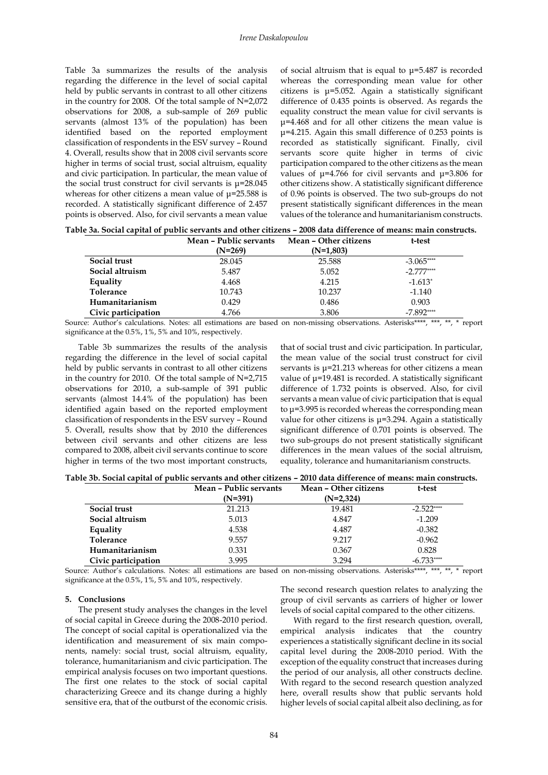Table 3a summarizes the results of the analysis regarding the difference in the level of social capital held by public servants in contrast to all other citizens in the country for 2008. Of the total sample of N=2,072 observations for 2008, a sub-sample of 269 public servants (almost 13% of the population) has been identified based on the reported employment classification of respondents in the ESV survey – Round 4. Overall, results show that in 2008 civil servants score higher in terms of social trust, social altruism, equality and civic participation. In particular, the mean value of the social trust construct for civil servants is μ=28.045 whereas for other citizens a mean value of μ=25.588 is recorded. A statistically significant difference of 2.457 points is observed. Also, for civil servants a mean value of social altruism that is equal to μ=5.487 is recorded whereas the corresponding mean value for other citizens is μ=5.052. Again a statistically significant difference of 0.435 points is observed. As regards the equality construct the mean value for civil servants is μ=4.468 and for all other citizens the mean value is μ=4.215. Again this small difference of 0.253 points is recorded as statistically significant. Finally, civil servants score quite higher in terms of civic participation compared to the other citizens as the mean values of μ=4.766 for civil servants and μ=3.806 for other citizens show. A statistically significant difference of 0.96 points is observed. The two sub-groups do not present statistically significant differences in the mean values of the tolerance and humanitarianism constructs.

| Table 3a. Social capital of public servants and other citizens – 2008 data difference of means: main constructs. |
|------------------------------------------------------------------------------------------------------------------|
|------------------------------------------------------------------------------------------------------------------|

|                     | Mean – Public servants | Mean – Other citizens | t-test      |
|---------------------|------------------------|-----------------------|-------------|
|                     | $(N=269)$              | $(N=1,803)$           |             |
| Social trust        | 28.045                 | 25.588                | $-3.065***$ |
| Social altruism     | 5.487                  | 5.052                 | $-2.777***$ |
| Equality            | 4.468                  | 4.215                 | $-1.613*$   |
| <b>Tolerance</b>    | 10.743                 | 10.237                | $-1.140$    |
| Humanitarianism     | 0.429                  | 0.486                 | 0.903       |
| Civic participation | 4.766                  | 3.806                 | $-7.892***$ |

Source: Author's calculations. Notes: all estimations are based on non-missing observations. Asterisks<sup>\*\*\*\*</sup>, \*\*\*, \*\*<sub>,</sub> \*\*, \* report significance at the 0.5%, 1%, 5% and 10%, respectively.

Table 3b summarizes the results of the analysis regarding the difference in the level of social capital held by public servants in contrast to all other citizens in the country for 2010. Of the total sample of N=2,715 observations for 2010, a sub-sample of 391 public servants (almost 14.4% of the population) has been identified again based on the reported employment classification of respondents in the ESV survey – Round 5. Overall, results show that by 2010 the differences between civil servants and other citizens are less compared to 2008, albeit civil servants continue to score higher in terms of the two most important constructs,

that of social trust and civic participation. In particular, the mean value of the social trust construct for civil servants is  $\mu$ =21.213 whereas for other citizens a mean value of μ=19.481 is recorded. A statistically significant difference of 1.732 points is observed. Also, for civil servants a mean value of civic participation that is equal to μ=3.995 is recorded whereas the corresponding mean value for other citizens is  $\mu$ =3.294. Again a statistically significant difference of 0.701 points is observed. The two sub-groups do not present statistically significant differences in the mean values of the social altruism, equality, tolerance and humanitarianism constructs.

|                     | Mean – Public servants<br>$(N=391)$ | Mean – Other citizens<br>$(N=2,324)$ | t-test      |
|---------------------|-------------------------------------|--------------------------------------|-------------|
| Social trust        | 21.213                              | 19.481                               | $-2.522***$ |
| Social altruism     | 5.013                               | 4.847                                | $-1.209$    |
| Equality            | 4.538                               | 4.487                                | $-0.382$    |
| <b>Tolerance</b>    | 9.557                               | 9.217                                | $-0.962$    |
| Humanitarianism     | 0.331                               | 0.367                                | 0.828       |
| Civic participation | 3.995                               | 3.294                                | $-6.733***$ |

Source: Author's calculations. Notes: all estimations are based on non-missing observations. Asterisks<sup>\*\*\*\*</sup>, \*\*\*, \*\*<sub>,</sub> \*\* significance at the 0.5%, 1%, 5% and 10%, respectively.

### **5. Conclusions**

The present study analyses the changes in the level of social capital in Greece during the 2008-2010 period. The concept of social capital is operationalized via the identification and measurement of six main components, namely: social trust, social altruism, equality, tolerance, humanitarianism and civic participation. The empirical analysis focuses on two important questions. The first one relates to the stock of social capital characterizing Greece and its change during a highly sensitive era, that of the outburst of the economic crisis. The second research question relates to analyzing the group of civil servants as carriers of higher or lower levels of social capital compared to the other citizens.

With regard to the first research question, overall, empirical analysis indicates that the country experiences a statistically significant decline in its social capital level during the 2008-2010 period. With the exception of the equality construct that increases during the period of our analysis, all other constructs decline. With regard to the second research question analyzed here, overall results show that public servants hold higher levels of social capital albeit also declining, as for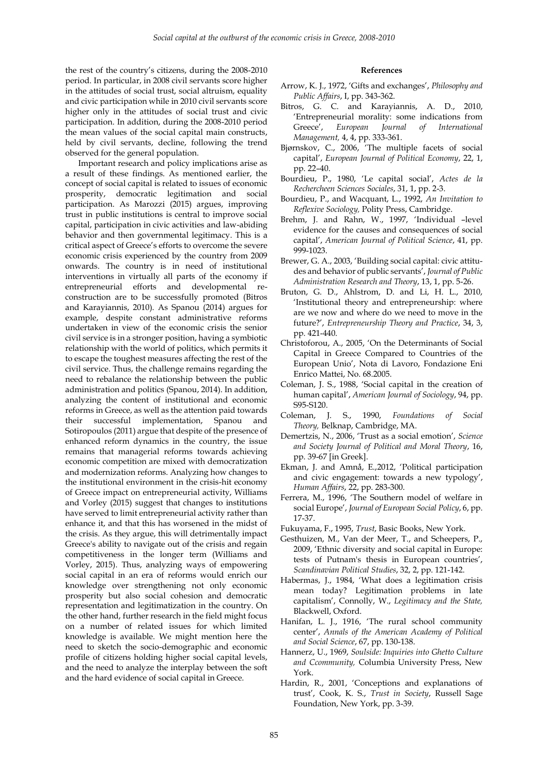the rest of the country's citizens, during the 2008-2010 period. In particular, in 2008 civil servants score higher in the attitudes of social trust, social altruism, equality and civic participation while in 2010 civil servants score higher only in the attitudes of social trust and civic participation. In addition, during the 2008-2010 period the mean values of the social capital main constructs, held by civil servants, decline, following the trend observed for the general population.

Important research and policy implications arise as a result of these findings. As mentioned earlier, the concept of social capital is related to issues of economic prosperity, democratic legitimation and social participation. As Marozzi (2015) argues, improving trust in public institutions is central to improve social capital, participation in civic activities and law-abiding behavior and then governmental legitimacy. This is a critical aspect of Greece's efforts to overcome the severe economic crisis experienced by the country from 2009 onwards. The country is in need of institutional interventions in virtually all parts of the economy if entrepreneurial efforts and developmental reconstruction are to be successfully promoted (Bitros and Karayiannis, 2010). As Spanou (2014) argues for example, despite constant administrative reforms undertaken in view of the economic crisis the senior civil service is in a stronger position, having a symbiotic relationship with the world of politics, which permits it to escape the toughest measures affecting the rest of the civil service. Thus, the challenge remains regarding the need to rebalance the relationship between the public administration and politics (Spanou, 2014). In addition, analyzing the content of institutional and economic reforms in Greece, as well as the attention paid towards their successful implementation, Spanou and Sotiropoulos (2011) argue that despite of the presence of enhanced reform dynamics in the country, the issue remains that managerial reforms towards achieving economic competition are mixed with democratization and modernization reforms. Analyzing how changes to the institutional environment in the crisis-hit economy of Greece impact on entrepreneurial activity, Williams and Vorley (2015) suggest that changes to institutions have served to limit entrepreneurial activity rather than enhance it, and that this has worsened in the midst of the crisis. As they argue, this will detrimentally impact Greece's ability to navigate out of the crisis and regain competitiveness in the longer term (Williams and Vorley, 2015). Thus, analyzing ways of empowering social capital in an era of reforms would enrich our knowledge over strengthening not only economic prosperity but also social cohesion and democratic representation and legitimatization in the country. On the other hand, further research in the field might focus on a number of related issues for which limited knowledge is available. We might mention here the need to sketch the socio-demographic and economic profile of citizens holding higher social capital levels, and the need to analyze the interplay between the soft and the hard evidence of social capital in Greece.

### **References**

- Arrow, K. J., 1972, 'Gifts and exchanges', *Philosophy and Public Affairs*, I, pp. 343-362.
- Bitros, G. C. and Karayiannis, A. D., 2010, 'Entrepreneurial morality: some indications from Greece', *European Journal of International Management,* 4, 4, pp. 333-361.
- Bjørnskov, C., 2006, 'The multiple facets of social capital', *European Journal of Political Economy*, 22, 1, pp. 22–40.
- Bourdieu, P., 1980, 'Le capital social', *Actes de la Rechercheen Sciences Sociales*, 31, 1, pp. 2-3.
- Bourdieu, P., and Wacquant, L., 1992, *An Invitation to Reflexive Sociology,* Polity Press, Cambridge.
- Brehm, J. and Rahn, W., 1997, 'Individual –level evidence for the causes and consequences of social capital', *American Journal of Political Science*, 41, pp. 999-1023.
- Brewer, G. A., 2003, 'Building social capital: civic attitudes and behavior of public servants', *Journal of Public Administration Research and Theory*, 13, 1, pp. 5-26.
- Bruton, G. D., Ahlstrom, D. and Li, H. L., 2010, 'Institutional theory and entrepreneurship: where are we now and where do we need to move in the future?', *Entrepreneurship Theory and Practice*, 34, 3, pp. 421-440.
- Christoforou, A., 2005, 'On the Determinants of Social Capital in Greece Compared to Countries of the European Unio', Nota di Lavoro, Fondazione Eni Enrico Mattei, No. 68.2005.
- Coleman, J. S., 1988, 'Social capital in the creation of human capital', *American Journal of Sociology*, 94, pp. S95-S120.
- Coleman, J. S., 1990, *Foundations of Social Theory,* Belknap, Cambridge, MA.
- Demertzis, N., 2006, 'Trust as a social emotion', *Science and Society Journal of Political and Moral Theory*, 16, pp. 39-67 [in Greek].
- Ekman, J. and Amnå, E.,2012, 'Political participation and civic engagement: towards a new typology', *Human Affairs*, 22, pp. 283-300.
- Ferrera, M., 1996, 'The Southern model of welfare in social Europe', *Journal of European Social Policy*, 6, pp. 17-37.
- Fukuyama, F., 1995, *Trust*, Basic Books, New York.
- Gesthuizen, M., Van der Meer, T., and Scheepers, P., 2009, 'Ethnic diversity and social capital in Europe: tests of Putnam's thesis in European countries', *Scandinavian Political Studies*, 32, 2, pp. 121-142.
- Habermas, J., 1984, 'What does a legitimation crisis mean today? Legitimation problems in late capitalism', Connolly, W., *Legitimacy and the State,* Blackwell, Oxford.
- Hanifan, L. J., 1916, 'The rural school community center', *Annals of the American Academy of Political and Social Science*, 67, pp. 130-138.
- Hannerz, U., 1969, *Soulside: Inquiries into Ghetto Culture and Ccommunity,* Columbia University Press, New York.
- Hardin, R., 2001, 'Conceptions and explanations of trust', Cook, K. S., *Trust in Society*, Russell Sage Foundation, New York, pp. 3-39.